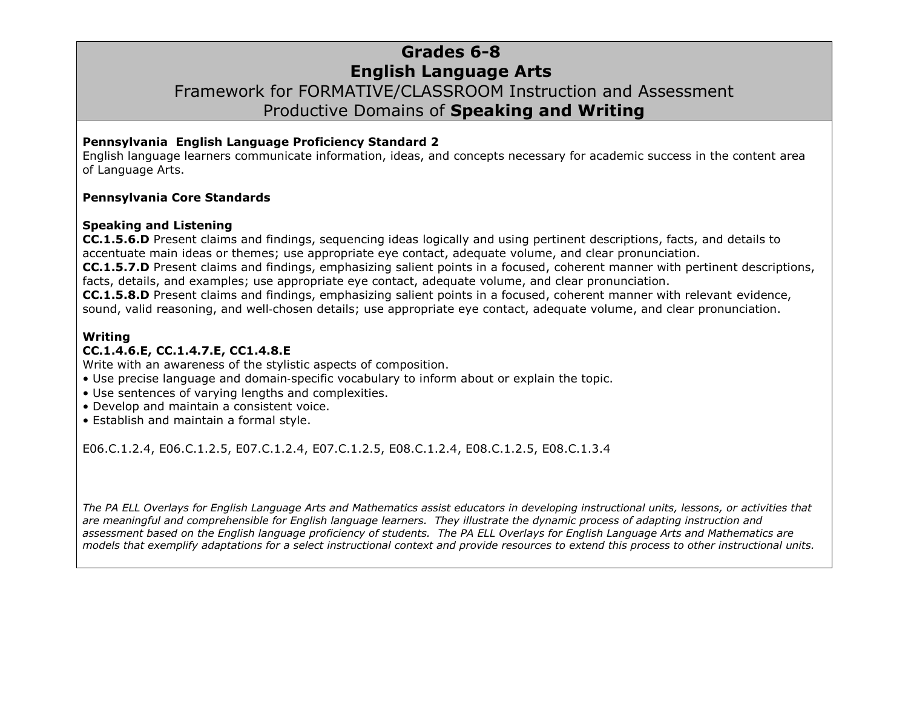### **Grades 6-8 English Language Arts** Framework for FORMATIVE/CLASSROOM Instruction and Assessment Productive Domains of **Speaking and Writing**

#### **Pennsylvania English Language Proficiency Standard 2**

English language learners communicate information, ideas, and concepts necessary for academic success in the content area of Language Arts.

#### **Pennsylvania Core Standards**

#### **Speaking and Listening**

**CC.1.5.6.D** Present claims and findings, sequencing ideas logically and using pertinent descriptions, facts, and details to accentuate main ideas or themes; use appropriate eye contact, adequate volume, and clear pronunciation.

**CC.1.5.7.D** Present claims and findings, emphasizing salient points in a focused, coherent manner with pertinent descriptions, facts, details, and examples; use appropriate eye contact, adequate volume, and clear pronunciation.

**CC.1.5.8.D** Present claims and findings, emphasizing salient points in a focused, coherent manner with relevant evidence, sound, valid reasoning, and well-chosen details; use appropriate eye contact, adequate volume, and clear pronunciation.

#### **Writing**

#### **CC.1.4.6.E, CC.1.4.7.E, CC1.4.8.E**

Write with an awareness of the stylistic aspects of composition.

- Use precise language and domain‐specific vocabulary to inform about or explain the topic.
- Use sentences of varying lengths and complexities.
- Develop and maintain a consistent voice.
- Establish and maintain a formal style.

[E06.C.1.2.4,](http://www.pdesas.org/Standard/StandardsBrowser#161864?cf=y ) [E06.C.1.2.5,](http://www.pdesas.org/Standard/StandardsBrowser#161865?cf=y ) [E07.C.1.2.4,](http://www.pdesas.org/Standard/StandardsBrowser#161954?cf=y ) [E07.C.1.2.5,](http://www.pdesas.org/Standard/StandardsBrowser#161955?cf=y ) [E08.C.1.2.4,](http://www.pdesas.org/Standard/StandardsBrowser#162046?cf=y ) [E08.C.1.2.5,](http://www.pdesas.org/Standard/StandardsBrowser#162047?cf=y ) [E08.C.1.3.4](http://www.pdesas.org/Standard/StandardsBrowser#162052?cf=y )

*The PA ELL Overlays for English Language Arts and Mathematics assist educators in developing instructional units, lessons, or activities that are meaningful and comprehensible for English language learners. They illustrate the dynamic process of adapting instruction and assessment based on the English language proficiency of students. The PA ELL Overlays for English Language Arts and Mathematics are models that exemplify adaptations for a select instructional context and provide resources to extend this process to other instructional units.*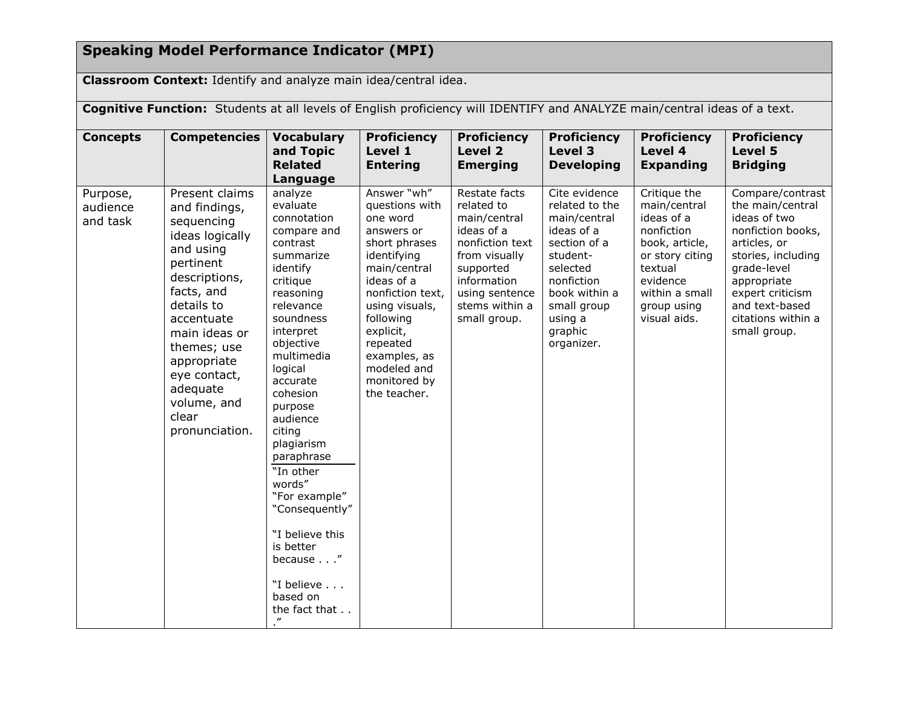# **Speaking Model Performance Indicator (MPI)**

**Classroom Context:** Identify and analyze main idea/central idea.

| Cognitive Function: Students at all levels of English proficiency will IDENTIFY and ANALYZE main/central ideas of a text. |                                                                                                                                                                                                                                                                            |                                                                                                                                                                                                                                                                                                                                                                                                                                    |                                                                                                                                                                                                                                                                  |                                                                                                                                                                               |                                                                                                                                                                                         |                                                                                                                                                                       |                                                                                                                                                                                                                           |  |  |
|---------------------------------------------------------------------------------------------------------------------------|----------------------------------------------------------------------------------------------------------------------------------------------------------------------------------------------------------------------------------------------------------------------------|------------------------------------------------------------------------------------------------------------------------------------------------------------------------------------------------------------------------------------------------------------------------------------------------------------------------------------------------------------------------------------------------------------------------------------|------------------------------------------------------------------------------------------------------------------------------------------------------------------------------------------------------------------------------------------------------------------|-------------------------------------------------------------------------------------------------------------------------------------------------------------------------------|-----------------------------------------------------------------------------------------------------------------------------------------------------------------------------------------|-----------------------------------------------------------------------------------------------------------------------------------------------------------------------|---------------------------------------------------------------------------------------------------------------------------------------------------------------------------------------------------------------------------|--|--|
| <b>Concepts</b>                                                                                                           | Competencies                                                                                                                                                                                                                                                               | <b>Vocabulary</b><br>and Topic<br><b>Related</b><br>Language                                                                                                                                                                                                                                                                                                                                                                       | <b>Proficiency</b><br>Level 1<br><b>Entering</b>                                                                                                                                                                                                                 | <b>Proficiency</b><br>Level 2<br><b>Emerging</b>                                                                                                                              | <b>Proficiency</b><br>Level 3<br><b>Developing</b>                                                                                                                                      | <b>Proficiency</b><br>Level 4<br><b>Expanding</b>                                                                                                                     | <b>Proficiency</b><br><b>Level 5</b><br><b>Bridging</b>                                                                                                                                                                   |  |  |
| Purpose,<br>audience<br>and task                                                                                          | Present claims<br>and findings,<br>sequencing<br>ideas logically<br>and using<br>pertinent<br>descriptions,<br>facts, and<br>details to<br>accentuate<br>main ideas or<br>themes; use<br>appropriate<br>eye contact,<br>adequate<br>volume, and<br>clear<br>pronunciation. | analyze<br>evaluate<br>connotation<br>compare and<br>contrast<br>summarize<br>identify<br>critique<br>reasoning<br>relevance<br>soundness<br>interpret<br>objective<br>multimedia<br>logical<br>accurate<br>cohesion<br>purpose<br>audience<br>citing<br>plagiarism<br>paraphrase<br>"In other<br>words"<br>"For example"<br>"Consequently"<br>"I believe this<br>is better<br>because"<br>"I believe<br>based on<br>the fact that | Answer "wh"<br>questions with<br>one word<br>answers or<br>short phrases<br>identifying<br>main/central<br>ideas of a<br>nonfiction text,<br>using visuals,<br>following<br>explicit,<br>repeated<br>examples, as<br>modeled and<br>monitored by<br>the teacher. | Restate facts<br>related to<br>main/central<br>ideas of a<br>nonfiction text<br>from visually<br>supported<br>information<br>using sentence<br>stems within a<br>small group. | Cite evidence<br>related to the<br>main/central<br>ideas of a<br>section of a<br>student-<br>selected<br>nonfiction<br>book within a<br>small group<br>using a<br>graphic<br>organizer. | Critique the<br>main/central<br>ideas of a<br>nonfiction<br>book, article,<br>or story citing<br>textual<br>evidence<br>within a small<br>group using<br>visual aids. | Compare/contrast<br>the main/central<br>ideas of two<br>nonfiction books,<br>articles, or<br>stories, including<br>grade-level<br>appropriate<br>expert criticism<br>and text-based<br>citations within a<br>small group. |  |  |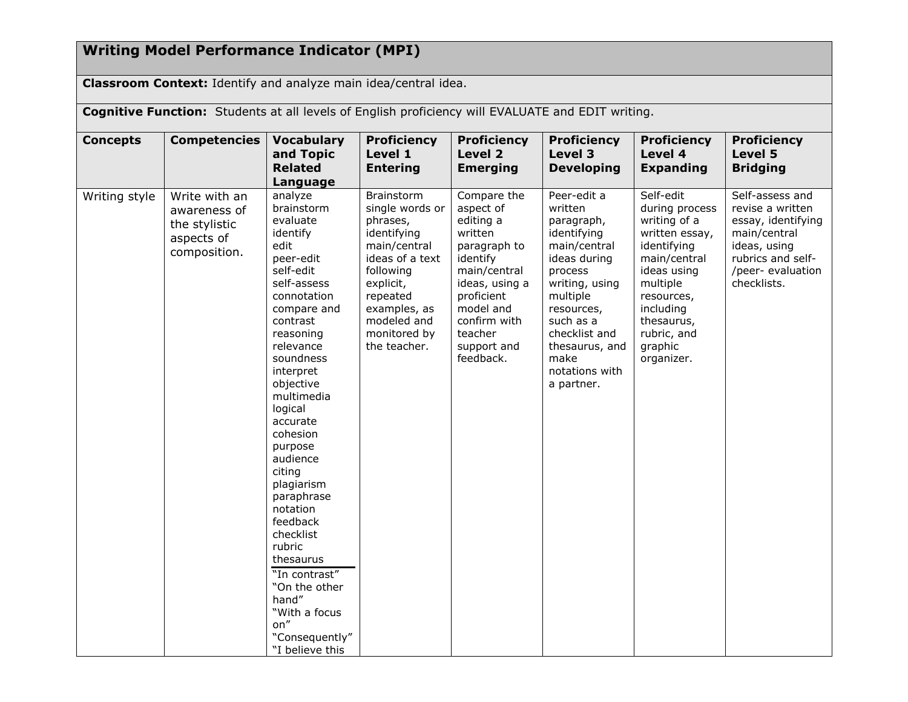## **Writing Model Performance Indicator (MPI)**

**Classroom Context:** Identify and analyze main idea/central idea.

**Cognitive Function:** Students at all levels of English proficiency will EVALUATE and EDIT writing.

| <b>Concepts</b> | <b>Competencies</b>                                                          | <b>Vocabulary</b><br>and Topic<br><b>Related</b><br>Language                                                                                                                                                                                                                                                                                                                                                                                                                                | <b>Proficiency</b><br>Level 1<br><b>Entering</b>                                                                                                                                                        | <b>Proficiency</b><br>Level 2<br><b>Emerging</b>                                                                                                                                                 | <b>Proficiency</b><br>Level 3<br><b>Developing</b>                                                                                                                                                                                 | <b>Proficiency</b><br>Level 4<br><b>Expanding</b>                                                                                                                                                        | <b>Proficiency</b><br>Level 5<br><b>Bridging</b>                                                                                                   |
|-----------------|------------------------------------------------------------------------------|---------------------------------------------------------------------------------------------------------------------------------------------------------------------------------------------------------------------------------------------------------------------------------------------------------------------------------------------------------------------------------------------------------------------------------------------------------------------------------------------|---------------------------------------------------------------------------------------------------------------------------------------------------------------------------------------------------------|--------------------------------------------------------------------------------------------------------------------------------------------------------------------------------------------------|------------------------------------------------------------------------------------------------------------------------------------------------------------------------------------------------------------------------------------|----------------------------------------------------------------------------------------------------------------------------------------------------------------------------------------------------------|----------------------------------------------------------------------------------------------------------------------------------------------------|
| Writing style   | Write with an<br>awareness of<br>the stylistic<br>aspects of<br>composition. | analyze<br>brainstorm<br>evaluate<br>identify<br>edit<br>peer-edit<br>self-edit<br>self-assess<br>connotation<br>compare and<br>contrast<br>reasoning<br>relevance<br>soundness<br>interpret<br>objective<br>multimedia<br>logical<br>accurate<br>cohesion<br>purpose<br>audience<br>citing<br>plagiarism<br>paraphrase<br>notation<br>feedback<br>checklist<br>rubric<br>thesaurus<br>"In contrast"<br>"On the other<br>hand"<br>"With a focus<br>on"<br>"Consequently"<br>"I believe this | <b>Brainstorm</b><br>single words or<br>phrases,<br>identifying<br>main/central<br>ideas of a text<br>following<br>explicit,<br>repeated<br>examples, as<br>modeled and<br>monitored by<br>the teacher. | Compare the<br>aspect of<br>editing a<br>written<br>paragraph to<br>identify<br>main/central<br>ideas, using a<br>proficient<br>model and<br>confirm with<br>teacher<br>support and<br>feedback. | Peer-edit a<br>written<br>paragraph,<br>identifying<br>main/central<br>ideas during<br>process<br>writing, using<br>multiple<br>resources,<br>such as a<br>checklist and<br>thesaurus, and<br>make<br>notations with<br>a partner. | Self-edit<br>during process<br>writing of a<br>written essay,<br>identifying<br>main/central<br>ideas using<br>multiple<br>resources,<br>including<br>thesaurus,<br>rubric, and<br>graphic<br>organizer. | Self-assess and<br>revise a written<br>essay, identifying<br>main/central<br>ideas, using<br>rubrics and self-<br>/peer- evaluation<br>checklists. |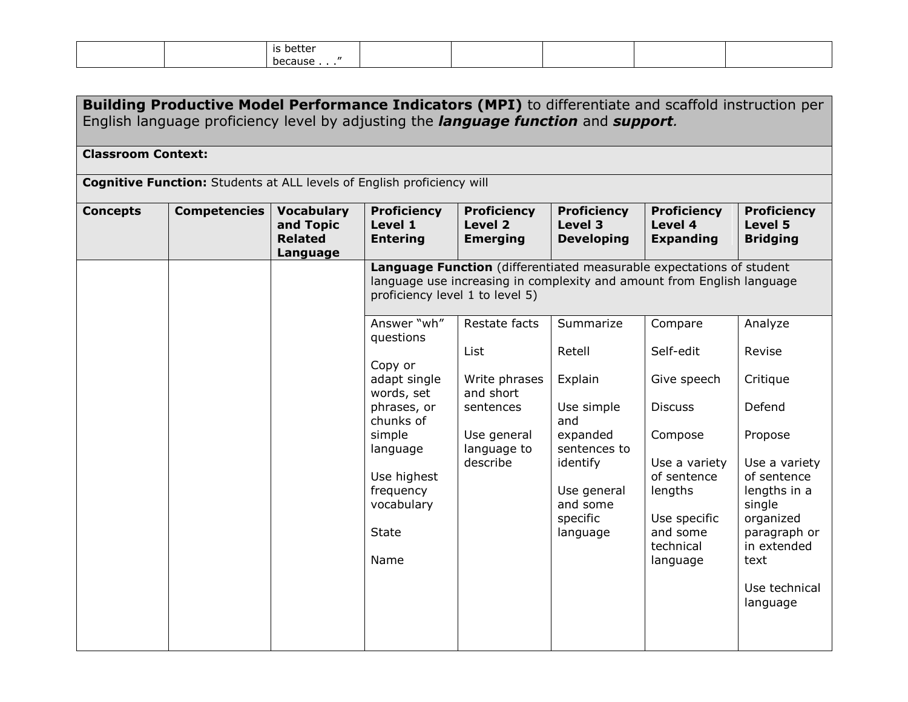|  | is better         |  |  |  |
|--|-------------------|--|--|--|
|  | because<br>$\sim$ |  |  |  |

| <b>Building Productive Model Performance Indicators (MPI)</b> to differentiate and scaffold instruction per<br>English language proficiency level by adjusting the <i>language function</i> and <i>support</i> . |                     |                                                              |                                                                                                                                                                                       |                                                                                                                                                |                                                                                                                                                |                                                                                                                                                                  |                                                                                                                                                                                   |  |  |
|------------------------------------------------------------------------------------------------------------------------------------------------------------------------------------------------------------------|---------------------|--------------------------------------------------------------|---------------------------------------------------------------------------------------------------------------------------------------------------------------------------------------|------------------------------------------------------------------------------------------------------------------------------------------------|------------------------------------------------------------------------------------------------------------------------------------------------|------------------------------------------------------------------------------------------------------------------------------------------------------------------|-----------------------------------------------------------------------------------------------------------------------------------------------------------------------------------|--|--|
| <b>Classroom Context:</b>                                                                                                                                                                                        |                     |                                                              |                                                                                                                                                                                       |                                                                                                                                                |                                                                                                                                                |                                                                                                                                                                  |                                                                                                                                                                                   |  |  |
| <b>Cognitive Function:</b> Students at ALL levels of English proficiency will                                                                                                                                    |                     |                                                              |                                                                                                                                                                                       |                                                                                                                                                |                                                                                                                                                |                                                                                                                                                                  |                                                                                                                                                                                   |  |  |
| <b>Concepts</b>                                                                                                                                                                                                  | <b>Competencies</b> | <b>Vocabulary</b><br>and Topic<br><b>Related</b><br>Language | <b>Proficiency</b><br>Level 1<br><b>Entering</b>                                                                                                                                      | <b>Proficiency</b><br>Level 2<br><b>Emerging</b>                                                                                               | <b>Proficiency</b><br>Level 3<br><b>Developing</b>                                                                                             | <b>Proficiency</b><br>Level 4<br><b>Expanding</b>                                                                                                                | <b>Proficiency</b><br>Level 5<br><b>Bridging</b>                                                                                                                                  |  |  |
|                                                                                                                                                                                                                  |                     |                                                              | proficiency level 1 to level 5)                                                                                                                                                       | Language Function (differentiated measurable expectations of student<br>language use increasing in complexity and amount from English language |                                                                                                                                                |                                                                                                                                                                  |                                                                                                                                                                                   |  |  |
|                                                                                                                                                                                                                  |                     |                                                              | Answer "wh"<br>questions<br>Copy or<br>adapt single<br>words, set<br>phrases, or<br>chunks of<br>simple<br>language<br>Use highest<br>frequency<br>vocabulary<br><b>State</b><br>Name | Restate facts<br>List<br>Write phrases<br>and short<br>sentences<br>Use general<br>language to<br>describe                                     | Summarize<br>Retell<br>Explain<br>Use simple<br>and<br>expanded<br>sentences to<br>identify<br>Use general<br>and some<br>specific<br>language | Compare<br>Self-edit<br>Give speech<br><b>Discuss</b><br>Compose<br>Use a variety<br>of sentence<br>lengths<br>Use specific<br>and some<br>technical<br>language | Analyze<br>Revise<br>Critique<br>Defend<br>Propose<br>Use a variety<br>of sentence<br>lengths in a<br>single<br>organized<br>paragraph or<br>in extended<br>text<br>Use technical |  |  |
|                                                                                                                                                                                                                  |                     |                                                              |                                                                                                                                                                                       |                                                                                                                                                |                                                                                                                                                |                                                                                                                                                                  | language                                                                                                                                                                          |  |  |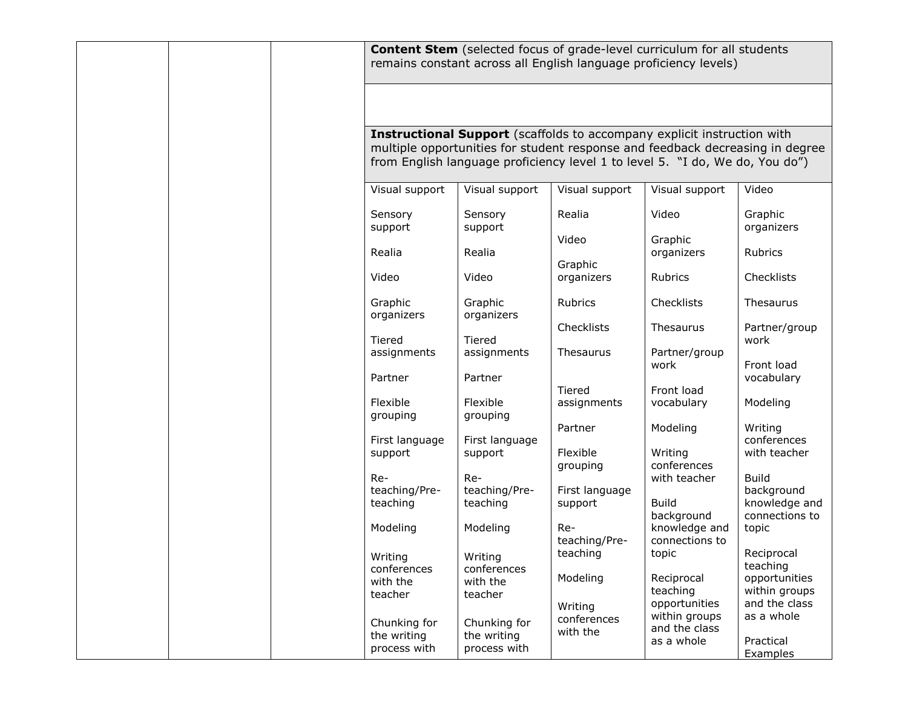|  | <b>Content Stem</b> (selected focus of grade-level curriculum for all students<br>remains constant across all English language proficiency levels) |                             |                                                                                |                                 |                                |  |  |
|--|----------------------------------------------------------------------------------------------------------------------------------------------------|-----------------------------|--------------------------------------------------------------------------------|---------------------------------|--------------------------------|--|--|
|  |                                                                                                                                                    |                             |                                                                                |                                 |                                |  |  |
|  |                                                                                                                                                    |                             |                                                                                |                                 |                                |  |  |
|  |                                                                                                                                                    |                             | <b>Instructional Support</b> (scaffolds to accompany explicit instruction with |                                 |                                |  |  |
|  |                                                                                                                                                    |                             | multiple opportunities for student response and feedback decreasing in degree  |                                 |                                |  |  |
|  |                                                                                                                                                    |                             | from English language proficiency level 1 to level 5. "I do, We do, You do")   |                                 |                                |  |  |
|  | Visual support                                                                                                                                     | Visual support              | Visual support                                                                 | Visual support                  | Video                          |  |  |
|  |                                                                                                                                                    |                             |                                                                                |                                 |                                |  |  |
|  | Sensory                                                                                                                                            | Sensory                     | Realia                                                                         | Video                           | Graphic                        |  |  |
|  | support                                                                                                                                            | support                     |                                                                                |                                 | organizers                     |  |  |
|  | Realia                                                                                                                                             | Realia                      | Video                                                                          | Graphic<br>organizers           | Rubrics                        |  |  |
|  |                                                                                                                                                    |                             | Graphic                                                                        |                                 |                                |  |  |
|  | Video                                                                                                                                              | Video                       | organizers                                                                     | Rubrics                         | Checklists                     |  |  |
|  | Graphic                                                                                                                                            | Graphic                     | Rubrics                                                                        | Checklists                      | Thesaurus                      |  |  |
|  | organizers                                                                                                                                         | organizers                  |                                                                                |                                 |                                |  |  |
|  |                                                                                                                                                    |                             | Checklists                                                                     | Thesaurus                       | Partner/group                  |  |  |
|  | Tiered<br>assignments                                                                                                                              | Tiered<br>assignments       | Thesaurus                                                                      | Partner/group                   | work                           |  |  |
|  |                                                                                                                                                    |                             |                                                                                | work                            | Front load                     |  |  |
|  | Partner                                                                                                                                            | Partner                     |                                                                                |                                 | vocabulary                     |  |  |
|  |                                                                                                                                                    |                             | Tiered                                                                         | Front load                      |                                |  |  |
|  | Flexible<br>grouping                                                                                                                               | Flexible<br>grouping        | assignments                                                                    | vocabulary                      | Modeling                       |  |  |
|  |                                                                                                                                                    |                             | Partner                                                                        | Modeling                        | Writing                        |  |  |
|  | First language                                                                                                                                     | First language              |                                                                                |                                 | conferences                    |  |  |
|  | support                                                                                                                                            | support                     | Flexible                                                                       | Writing                         | with teacher                   |  |  |
|  | Re-                                                                                                                                                | Re-                         | grouping                                                                       | conferences<br>with teacher     | <b>Build</b>                   |  |  |
|  | teaching/Pre-                                                                                                                                      | teaching/Pre-               | First language                                                                 |                                 | background                     |  |  |
|  | teaching                                                                                                                                           | teaching                    | support                                                                        | <b>Build</b>                    | knowledge and                  |  |  |
|  |                                                                                                                                                    |                             |                                                                                | background                      | connections to                 |  |  |
|  | Modeling                                                                                                                                           | Modeling                    | Re-<br>teaching/Pre-                                                           | knowledge and<br>connections to | topic                          |  |  |
|  |                                                                                                                                                    | Writing                     | teaching                                                                       | topic                           | Reciprocal                     |  |  |
|  | Writing<br>conferences                                                                                                                             | conferences                 |                                                                                |                                 | teaching                       |  |  |
|  | with the                                                                                                                                           | with the                    | Modeling                                                                       | Reciprocal                      | opportunities                  |  |  |
|  | teacher                                                                                                                                            | teacher                     |                                                                                | teaching<br>opportunities       | within groups<br>and the class |  |  |
|  |                                                                                                                                                    |                             | Writing<br>conferences                                                         | within groups                   | as a whole                     |  |  |
|  | Chunking for<br>the writing                                                                                                                        | Chunking for<br>the writing | with the                                                                       | and the class                   |                                |  |  |
|  | process with                                                                                                                                       | process with                |                                                                                | as a whole                      | Practical                      |  |  |
|  |                                                                                                                                                    |                             |                                                                                |                                 | Examples                       |  |  |